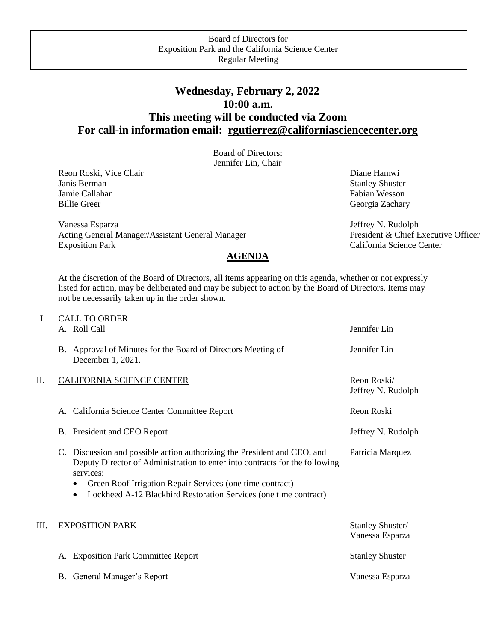## **Wednesday, February 2, 2022 10:00 a.m. This meeting will be conducted via Zoom For call-in information email: [rgutierrez@californiasciencecenter.org](mailto:rgutierrez@californiasciencecenter.org)**

Board of Directors: Jennifer Lin, Chair

Reon Roski, Vice Chair **Diane Hamwi** Diane Hamwi Diane Hamwi Diane Hamwi Diane Hamwi Diane Hamwi Diane Hamwi Diane Hamwi Diane Hamwi Diane Hamwi Diane Hamwi Diane Hamwi Diane Hamwi Diane Hamwi Diane Hamwi Diane Hamwi Diane Janis Berman Stanley Shuster Stanley Shuster Jamie Callahan Fabian Wesson Fabian Wesson Billie Greer Georgia Zachary

Vanessa Esparza Acting General Manager/Assistant General Manager Exposition Park

 Jeffrey N. Rudolph President & Chief Executive Officer California Science Center

At the discretion of the Board of Directors, all items appearing on this agenda, whether or not expressly listed for action, may be deliberated and may be subject to action by the Board of Directors. Items may not be necessarily taken up in the order shown.

**AGENDA** 

| I. | <b>CALL TO ORDER</b><br>A. Roll Call                                                                                                                                                                                                                                                                               | Jennifer Lin                        |
|----|--------------------------------------------------------------------------------------------------------------------------------------------------------------------------------------------------------------------------------------------------------------------------------------------------------------------|-------------------------------------|
|    | B. Approval of Minutes for the Board of Directors Meeting of<br>December 1, 2021.                                                                                                                                                                                                                                  | Jennifer Lin                        |
| П. | <b>CALIFORNIA SCIENCE CENTER</b>                                                                                                                                                                                                                                                                                   | Reon Roski/<br>Jeffrey N. Rudolph   |
|    | A. California Science Center Committee Report                                                                                                                                                                                                                                                                      | Reon Roski                          |
|    | B. President and CEO Report                                                                                                                                                                                                                                                                                        | Jeffrey N. Rudolph                  |
|    | C. Discussion and possible action authorizing the President and CEO, and<br>Deputy Director of Administration to enter into contracts for the following<br>services:<br>Green Roof Irrigation Repair Services (one time contract)<br>Lockheed A-12 Blackbird Restoration Services (one time contract)<br>$\bullet$ | Patricia Marquez                    |
| Ш. | <b>EXPOSITION PARK</b>                                                                                                                                                                                                                                                                                             | Stanley Shuster/<br>Vanessa Esparza |
|    | <b>Exposition Park Committee Report</b><br>A.                                                                                                                                                                                                                                                                      | <b>Stanley Shuster</b>              |
|    | B. General Manager's Report                                                                                                                                                                                                                                                                                        | Vanessa Esparza                     |